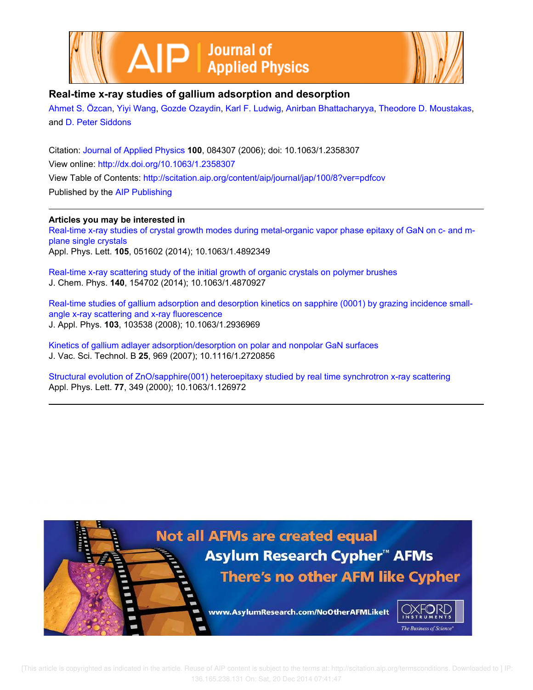



## **Real-time x-ray studies of gallium adsorption and desorption**

Ahmet S. Özcan, Yiyi Wang, Gozde Ozaydin, Karl F. Ludwig, Anirban Bhattacharyya, Theodore D. Moustakas, and D. Peter Siddons

Citation: Journal of Applied Physics **100**, 084307 (2006); doi: 10.1063/1.2358307 View online: http://dx.doi.org/10.1063/1.2358307 View Table of Contents: http://scitation.aip.org/content/aip/journal/jap/100/8?ver=pdfcov Published by the AIP Publishing

## **Articles you may be interested in**

Real-time x-ray studies of crystal growth modes during metal-organic vapor phase epitaxy of GaN on c- and mplane single crystals Appl. Phys. Lett. **105**, 051602 (2014); 10.1063/1.4892349

Real-time x-ray scattering study of the initial growth of organic crystals on polymer brushes J. Chem. Phys. **140**, 154702 (2014); 10.1063/1.4870927

Real-time studies of gallium adsorption and desorption kinetics on sapphire (0001) by grazing incidence smallangle x-ray scattering and x-ray fluorescence J. Appl. Phys. **103**, 103538 (2008); 10.1063/1.2936969

Kinetics of gallium adlayer adsorption/desorption on polar and nonpolar GaN surfaces J. Vac. Sci. Technol. B **25**, 969 (2007); 10.1116/1.2720856

Structural evolution of ZnO/sapphire(001) heteroepitaxy studied by real time synchrotron x-ray scattering Appl. Phys. Lett. **77**, 349 (2000); 10.1063/1.126972

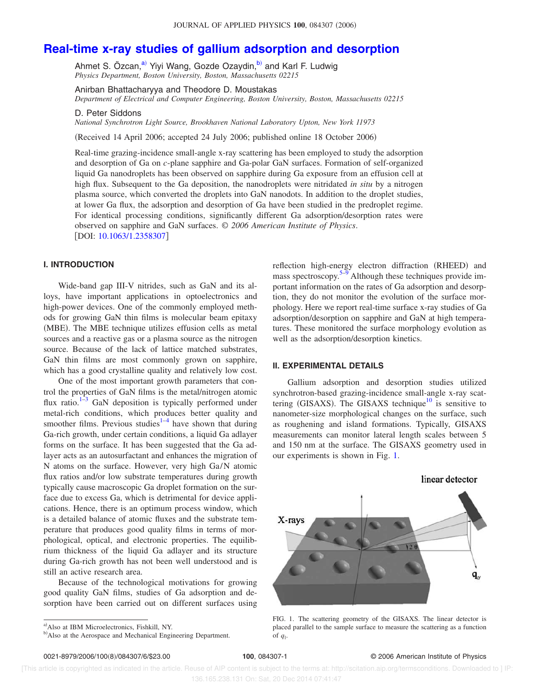# **Real-time x-ray studies of gallium adsorption and desorption**

Ahmet S. Özcan,<sup>a)</sup> Yiyi Wang, Gozde Ozaydin,<sup>b)</sup> and Karl F. Ludwig *Physics Department, Boston University, Boston, Massachusetts 02215*

Anirban Bhattacharyya and Theodore D. Moustakas *Department of Electrical and Computer Engineering, Boston University, Boston, Massachusetts 02215*

D. Peter Siddons

*National Synchrotron Light Source, Brookhaven National Laboratory Upton, New York 11973*

Received 14 April 2006; accepted 24 July 2006; published online 18 October 2006-

Real-time grazing-incidence small-angle x-ray scattering has been employed to study the adsorption and desorption of Ga on *c*-plane sapphire and Ga-polar GaN surfaces. Formation of self-organized liquid Ga nanodroplets has been observed on sapphire during Ga exposure from an effusion cell at high flux. Subsequent to the Ga deposition, the nanodroplets were nitridated *in situ* by a nitrogen plasma source, which converted the droplets into GaN nanodots. In addition to the droplet studies, at lower Ga flux, the adsorption and desorption of Ga have been studied in the predroplet regime. For identical processing conditions, significantly different Ga adsorption/desorption rates were observed on sapphire and GaN surfaces. © *2006 American Institute of Physics*. [DOI: 10.1063/1.2358307]

## **I. INTRODUCTION**

Wide-band gap III-V nitrides, such as GaN and its alloys, have important applications in optoelectronics and high-power devices. One of the commonly employed methods for growing GaN thin films is molecular beam epitaxy (MBE). The MBE technique utilizes effusion cells as metal sources and a reactive gas or a plasma source as the nitrogen source. Because of the lack of lattice matched substrates, GaN thin films are most commonly grown on sapphire, which has a good crystalline quality and relatively low cost.

One of the most important growth parameters that control the properties of GaN films is the metal/nitrogen atomic flux ratio. $1-3$  GaN deposition is typically performed under metal-rich conditions, which produces better quality and smoother films. Previous studies $1-4$  have shown that during Ga-rich growth, under certain conditions, a liquid Ga adlayer forms on the surface. It has been suggested that the Ga adlayer acts as an autosurfactant and enhances the migration of N atoms on the surface. However, very high Ga/N atomic flux ratios and/or low substrate temperatures during growth typically cause macroscopic Ga droplet formation on the surface due to excess Ga, which is detrimental for device applications. Hence, there is an optimum process window, which is a detailed balance of atomic fluxes and the substrate temperature that produces good quality films in terms of morphological, optical, and electronic properties. The equilibrium thickness of the liquid Ga adlayer and its structure during Ga-rich growth has not been well understood and is still an active research area.

Because of the technological motivations for growing good quality GaN films, studies of Ga adsorption and desorption have been carried out on different surfaces using

reflection high-energy electron diffraction (RHEED) and mass spectroscopy. $5-9$  Although these techniques provide important information on the rates of Ga adsorption and desorption, they do not monitor the evolution of the surface morphology. Here we report real-time surface x-ray studies of Ga adsorption/desorption on sapphire and GaN at high temperatures. These monitored the surface morphology evolution as well as the adsorption/desorption kinetics.

### **II. EXPERIMENTAL DETAILS**

Gallium adsorption and desorption studies utilized synchrotron-based grazing-incidence small-angle x-ray scattering (GISAXS). The GISAXS technique<sup>10</sup> is sensitive to nanometer-size morphological changes on the surface, such as roughening and island formations. Typically, GISAXS measurements can monitor lateral length scales between 5 and 150 nm at the surface. The GISAXS geometry used in our experiments is shown in Fig. 1.



FIG. 1. The scattering geometry of the GISAXS. The linear detector is placed parallel to the sample surface to measure the scattering as a function of  $q_{\parallel}$ .

#### **100**, 084307-1 © 2006 American Institute of Physics

 [This article is copyrighted as indicated in the article. Reuse of AIP content is subject to the terms at: http://scitation.aip.org/termsconditions. Downloaded to ] IP: 136.165.238.131 On: Sat, 20 Dec 2014 07:41:47

a) Also at IBM Microelectronics, Fishkill, NY.

b) Also at the Aerospace and Mechanical Engineering Department.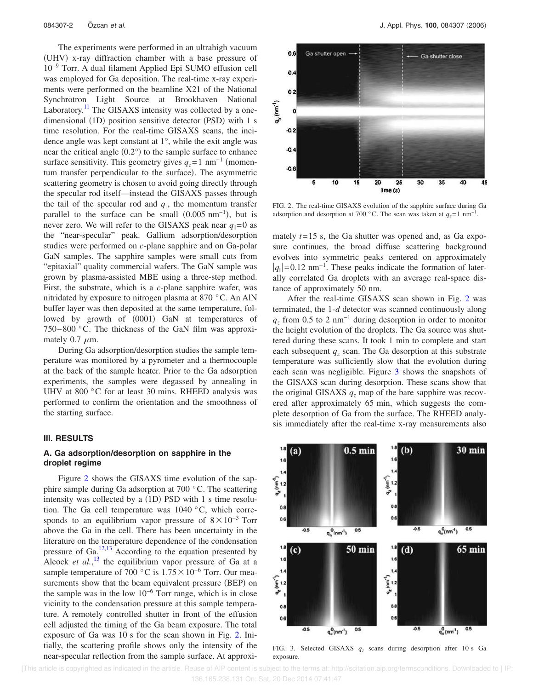The experiments were performed in an ultrahigh vacuum (UHV) x-ray diffraction chamber with a base pressure of 10−9 Torr. A dual filament Applied Epi SUMO effusion cell was employed for Ga deposition. The real-time x-ray experiments were performed on the beamline X21 of the National Synchrotron Light Source at Brookhaven National Laboratory.<sup>11</sup> The GISAXS intensity was collected by a onedimensional (1D) position sensitive detector (PSD) with 1 s time resolution. For the real-time GISAXS scans, the incidence angle was kept constant at 1°, while the exit angle was near the critical angle  $(0.2^{\circ})$  to the sample surface to enhance surface sensitivity. This geometry gives  $q_z = 1$  nm<sup>-1</sup> (momentum transfer perpendicular to the surface). The asymmetric scattering geometry is chosen to avoid going directly through the specular rod itself—instead the GISAXS passes through the tail of the specular rod and  $q_{\parallel}$ , the momentum transfer parallel to the surface can be small  $(0.005 \text{ nm}^{-1})$ , but is never zero. We will refer to the GISAXS peak near  $q_{\parallel}=0$  as the "near-specular" peak. Gallium adsorption/desorption studies were performed on *c*-plane sapphire and on Ga-polar GaN samples. The sapphire samples were small cuts from "epitaxial" quality commercial wafers. The GaN sample was grown by plasma-assisted MBE using a three-step method. First, the substrate, which is a *c*-plane sapphire wafer, was nitridated by exposure to nitrogen plasma at 870 °C. An AlN buffer layer was then deposited at the same temperature, followed by growth of (0001) GaN at temperatures of 750–800 °C. The thickness of the GaN film was approximately 0.7  $\mu$ m.

During Ga adsorption/desorption studies the sample temperature was monitored by a pyrometer and a thermocouple at the back of the sample heater. Prior to the Ga adsorption experiments, the samples were degassed by annealing in UHV at 800 °C for at least 30 mins. RHEED analysis was performed to confirm the orientation and the smoothness of the starting surface.

#### **III. RESULTS**

## **A. Ga adsorption/desorption on sapphire in the droplet regime**

Figure 2 shows the GISAXS time evolution of the sapphire sample during Ga adsorption at 700 °C. The scattering intensity was collected by a  $(1D)$  PSD with 1 s time resolution. The Ga cell temperature was 1040 °C, which corresponds to an equilibrium vapor pressure of  $8 \times 10^{-3}$  Torr above the Ga in the cell. There has been uncertainty in the literature on the temperature dependence of the condensation pressure of Ga. $^{12,13}$  According to the equation presented by Alcock *et al.*,<sup>13</sup> the equilibrium vapor pressure of Ga at a sample temperature of 700  $\degree$ C is 1.75  $\times$  10<sup>-6</sup> Torr. Our measurements show that the beam equivalent pressure (BEP) on the sample was in the low  $10^{-6}$  Torr range, which is in close vicinity to the condensation pressure at this sample temperature. A remotely controlled shutter in front of the effusion cell adjusted the timing of the Ga beam exposure. The total exposure of Ga was 10 s for the scan shown in Fig. 2. Initially, the scattering profile shows only the intensity of the near-specular reflection from the sample surface. At approxi-



FIG. 2. The real-time GISAXS evolution of the sapphire surface during Ga adsorption and desorption at 700 °C. The scan was taken at  $q_z = 1$  nm<sup>-1</sup>.

mately  $t=15$  s, the Ga shutter was opened and, as Ga exposure continues, the broad diffuse scattering background evolves into symmetric peaks centered on approximately  $|q_{\parallel}|$ =0.12 nm<sup>-1</sup>. These peaks indicate the formation of laterally correlated Ga droplets with an average real-space distance of approximately 50 nm.

After the real-time GISAXS scan shown in Fig. 2 was terminated, the 1-*d* detector was scanned continuously along  $q_z$  from 0.5 to 2 nm<sup>-1</sup> during desorption in order to monitor the height evolution of the droplets. The Ga source was shuttered during these scans. It took 1 min to complete and start each subsequent  $q_z$  scan. The Ga desorption at this substrate temperature was sufficiently slow that the evolution during each scan was negligible. Figure 3 shows the snapshots of the GISAXS scan during desorption. These scans show that the original GISAXS  $q_z$  map of the bare sapphire was recovered after approximately 65 min, which suggests the complete desorption of Ga from the surface. The RHEED analysis immediately after the real-time x-ray measurements also



FIG. 3. Selected GISAXS *q<sup>z</sup>* scans during desorption after 10 s Ga exposure.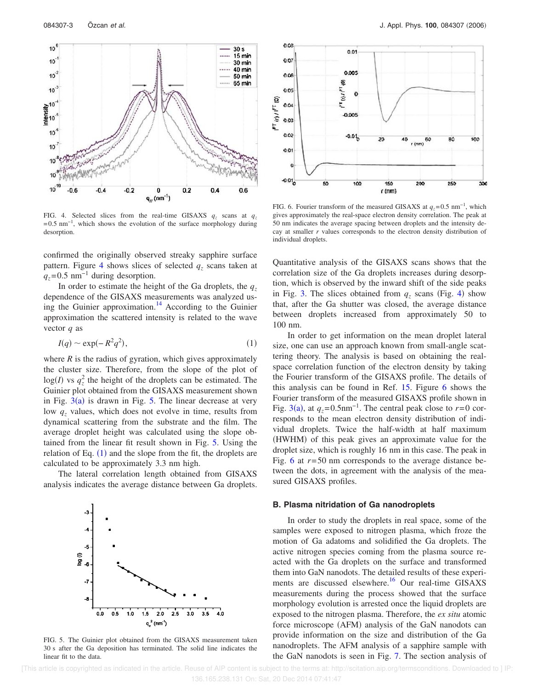

FIG. 4. Selected slices from the real-time GISAXS  $q_z$  scans at  $q_z$  $=0.5$  nm<sup>-1</sup>, which shows the evolution of the surface morphology during desorption.

confirmed the originally observed streaky sapphire surface pattern. Figure 4 shows slices of selected *q<sup>z</sup>* scans taken at  $q_z$ =0.5 nm<sup>-1</sup> during desorption.

In order to estimate the height of the Ga droplets, the  $q_z$ dependence of the GISAXS measurements was analyzed using the Guinier approximation.<sup>14</sup> According to the Guinier approximation the scattered intensity is related to the wave vector *q* as

$$
I(q) \sim \exp(-R^2 q^2),\tag{1}
$$

where  $R$  is the radius of gyration, which gives approximately the cluster size. Therefore, from the slope of the plot of  $log(I)$  vs  $q_z^2$  the height of the droplets can be estimated. The Guinier plot obtained from the GISAXS measurement shown in Fig.  $3(a)$  is drawn in Fig. 5. The linear decrease at very low *q<sup>z</sup>* values, which does not evolve in time, results from dynamical scattering from the substrate and the film. The average droplet height was calculated using the slope obtained from the linear fit result shown in Fig. 5. Using the relation of Eq.  $(1)$  and the slope from the fit, the droplets are calculated to be approximately 3.3 nm high.

The lateral correlation length obtained from GISAXS analysis indicates the average distance between Ga droplets.



FIG. 5. The Guinier plot obtained from the GISAXS measurement taken 30 s after the Ga deposition has terminated. The solid line indicates the linear fit to the data.



FIG. 6. Fourier transform of the measured GISAXS at  $q_z$ =0.5 nm<sup>-1</sup>, which gives approximately the real-space electron density correlation. The peak at 50 nm indicates the average spacing between droplets and the intensity decay at smaller *r* values corresponds to the electron density distribution of individual droplets.

Quantitative analysis of the GISAXS scans shows that the correlation size of the Ga droplets increases during desorption, which is observed by the inward shift of the side peaks in Fig. 3. The slices obtained from  $q_z$  scans (Fig. 4) show that, after the Ga shutter was closed, the average distance between droplets increased from approximately 50 to 100 nm.

In order to get information on the mean droplet lateral size, one can use an approach known from small-angle scattering theory. The analysis is based on obtaining the realspace correlation function of the electron density by taking the Fourier transform of the GISAXS profile. The details of this analysis can be found in Ref. 15. Figure 6 shows the Fourier transform of the measured GISAXS profile shown in Fig. 3(a), at  $q_z = 0.5$ nm<sup>-1</sup>. The central peak close to  $r = 0$  corresponds to the mean electron density distribution of individual droplets. Twice the half-width at half maximum (HWHM) of this peak gives an approximate value for the droplet size, which is roughly 16 nm in this case. The peak in Fig. 6 at *r*=50 nm corresponds to the average distance between the dots, in agreement with the analysis of the measured GISAXS profiles.

#### **B. Plasma nitridation of Ga nanodroplets**

In order to study the droplets in real space, some of the samples were exposed to nitrogen plasma, which froze the motion of Ga adatoms and solidified the Ga droplets. The active nitrogen species coming from the plasma source reacted with the Ga droplets on the surface and transformed them into GaN nanodots. The detailed results of these experiments are discussed elsewhere.<sup>16</sup> Our real-time GISAXS measurements during the process showed that the surface morphology evolution is arrested once the liquid droplets are exposed to the nitrogen plasma. Therefore, the *ex situ* atomic force microscope (AFM) analysis of the GaN nanodots can provide information on the size and distribution of the Ga nanodroplets. The AFM analysis of a sapphire sample with the GaN nanodots is seen in Fig. 7. The section analysis of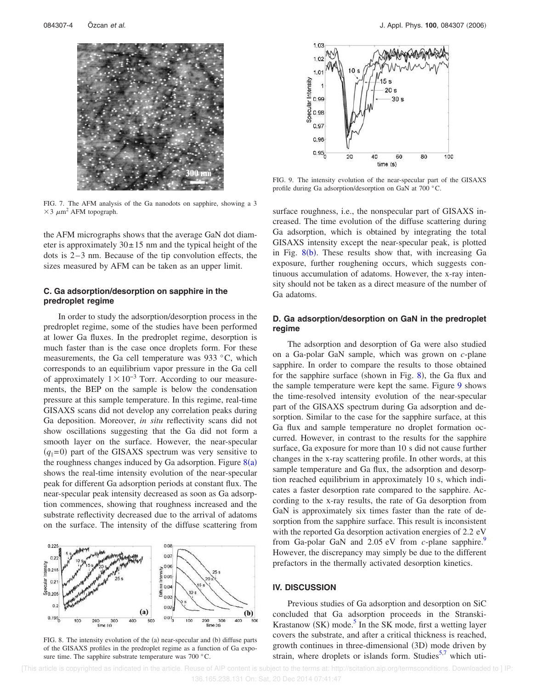

FIG. 7. The AFM analysis of the Ga nanodots on sapphire, showing a 3  $\times$  3  $\mu$ m<sup>2</sup> AFM topograph.

the AFM micrographs shows that the average GaN dot diameter is approximately  $30 \pm 15$  nm and the typical height of the dots is 2–3 nm. Because of the tip convolution effects, the sizes measured by AFM can be taken as an upper limit.

## **C. Ga adsorption/desorption on sapphire in the predroplet regime**

In order to study the adsorption/desorption process in the predroplet regime, some of the studies have been performed at lower Ga fluxes. In the predroplet regime, desorption is much faster than is the case once droplets form. For these measurements, the Ga cell temperature was 933 °C, which corresponds to an equilibrium vapor pressure in the Ga cell of approximately  $1 \times 10^{-3}$  Torr. According to our measurements, the BEP on the sample is below the condensation pressure at this sample temperature. In this regime, real-time GISAXS scans did not develop any correlation peaks during Ga deposition. Moreover, *in situ* reflectivity scans did not show oscillations suggesting that the Ga did not form a smooth layer on the surface. However, the near-specular  $(q_{\parallel}=0)$  part of the GISAXS spectrum was very sensitive to the roughness changes induced by Ga adsorption. Figure  $8(a)$ shows the real-time intensity evolution of the near-specular peak for different Ga adsorption periods at constant flux. The near-specular peak intensity decreased as soon as Ga adsorption commences, showing that roughness increased and the substrate reflectivity decreased due to the arrival of adatoms on the surface. The intensity of the diffuse scattering from



FIG. 8. The intensity evolution of the (a) near-specular and (b) diffuse parts of the GISAXS profiles in the predroplet regime as a function of Ga exposure time. The sapphire substrate temperature was 700 °C.



FIG. 9. The intensity evolution of the near-specular part of the GISAXS profile during Ga adsorption/desorption on GaN at 700 °C.

surface roughness, i.e., the nonspecular part of GISAXS increased. The time evolution of the diffuse scattering during Ga adsorption, which is obtained by integrating the total GISAXS intensity except the near-specular peak, is plotted in Fig.  $8(b)$ . These results show that, with increasing Ga exposure, further roughening occurs, which suggests continuous accumulation of adatoms. However, the x-ray intensity should not be taken as a direct measure of the number of Ga adatoms.

### **D. Ga adsorption/desorption on GaN in the predroplet regime**

The adsorption and desorption of Ga were also studied on a Ga-polar GaN sample, which was grown on *c*-plane sapphire. In order to compare the results to those obtained for the sapphire surface (shown in Fig.  $8$ ), the Ga flux and the sample temperature were kept the same. Figure 9 shows the time-resolved intensity evolution of the near-specular part of the GISAXS spectrum during Ga adsorption and desorption. Similar to the case for the sapphire surface, at this Ga flux and sample temperature no droplet formation occurred. However, in contrast to the results for the sapphire surface, Ga exposure for more than 10 s did not cause further changes in the x-ray scattering profile. In other words, at this sample temperature and Ga flux, the adsorption and desorption reached equilibrium in approximately 10 s, which indicates a faster desorption rate compared to the sapphire. According to the x-ray results, the rate of Ga desorption from GaN is approximately six times faster than the rate of desorption from the sapphire surface. This result is inconsistent with the reported Ga desorption activation energies of 2.2 eV from Ga-polar GaN and 2.05 eV from *c*-plane sapphire.<sup>9</sup> However, the discrepancy may simply be due to the different prefactors in the thermally activated desorption kinetics.

#### **IV. DISCUSSION**

Previous studies of Ga adsorption and desorption on SiC concluded that Ga adsorption proceeds in the Stranski-Krastanow (SK) mode.<sup>5</sup> In the SK mode, first a wetting layer covers the substrate, and after a critical thickness is reached, growth continues in three-dimensional (3D) mode driven by strain, where droplets or islands form. Studies $5,7$  which uti-

 [This article is copyrighted as indicated in the article. Reuse of AIP content is subject to the terms at: http://scitation.aip.org/termsconditions. Downloaded to ] IP: 136.165.238.131 On: Sat, 20 Dec 2014 07:41:47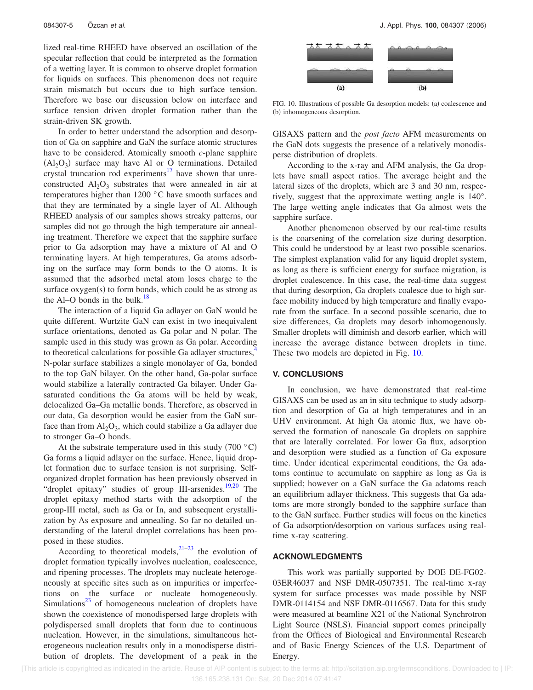lized real-time RHEED have observed an oscillation of the specular reflection that could be interpreted as the formation of a wetting layer. It is common to observe droplet formation for liquids on surfaces. This phenomenon does not require strain mismatch but occurs due to high surface tension. Therefore we base our discussion below on interface and surface tension driven droplet formation rather than the strain-driven SK growth.

In order to better understand the adsorption and desorption of Ga on sapphire and GaN the surface atomic structures have to be considered. Atomically smooth *c*-plane sapphire  $(Al<sub>2</sub>O<sub>3</sub>)$  surface may have Al or O terminations. Detailed crystal truncation rod experiments<sup>17</sup> have shown that unreconstructed  $Al_2O_3$  substrates that were annealed in air at temperatures higher than 1200 °C have smooth surfaces and that they are terminated by a single layer of Al. Although RHEED analysis of our samples shows streaky patterns, our samples did not go through the high temperature air annealing treatment. Therefore we expect that the sapphire surface prior to Ga adsorption may have a mixture of Al and O terminating layers. At high temperatures, Ga atoms adsorbing on the surface may form bonds to the O atoms. It is assumed that the adsorbed metal atom loses charge to the surface oxygen(s) to form bonds, which could be as strong as the Al–O bonds in the bulk. $18$ 

The interaction of a liquid Ga adlayer on GaN would be quite different. Wurtzite GaN can exist in two inequivalent surface orientations, denoted as Ga polar and N polar. The sample used in this study was grown as Ga polar. According to theoretical calculations for possible Ga adlayer structures,<sup>4</sup> N-polar surface stabilizes a single monolayer of Ga, bonded to the top GaN bilayer. On the other hand, Ga-polar surface would stabilize a laterally contracted Ga bilayer. Under Gasaturated conditions the Ga atoms will be held by weak, delocalized Ga–Ga metallic bonds. Therefore, as observed in our data, Ga desorption would be easier from the GaN surface than from  $Al_2O_3$ , which could stabilize a Ga adlayer due to stronger Ga–O bonds.

At the substrate temperature used in this study  $(700 \degree C)$ Ga forms a liquid adlayer on the surface. Hence, liquid droplet formation due to surface tension is not surprising. Selforganized droplet formation has been previously observed in "droplet epitaxy" studies of group III-arsenides.<sup>19,20</sup> The droplet epitaxy method starts with the adsorption of the group-III metal, such as Ga or In, and subsequent crystallization by As exposure and annealing. So far no detailed understanding of the lateral droplet correlations has been proposed in these studies.

According to theoretical models,  $21-23$  the evolution of droplet formation typically involves nucleation, coalescence, and ripening processes. The droplets may nucleate heterogeneously at specific sites such as on impurities or imperfections on the surface or nucleate homogeneously. Simulations $^{23}$  of homogeneous nucleation of droplets have shown the coexistence of monodispersed large droplets with polydispersed small droplets that form due to continuous nucleation. However, in the simulations, simultaneous heterogeneous nucleation results only in a monodisperse distribution of droplets. The development of a peak in the



FIG. 10. Illustrations of possible Ga desorption models: (a) coalescence and (b) inhomogeneous desorption.

GISAXS pattern and the *post facto* AFM measurements on the GaN dots suggests the presence of a relatively monodisperse distribution of droplets.

According to the x-ray and AFM analysis, the Ga droplets have small aspect ratios. The average height and the lateral sizes of the droplets, which are 3 and 30 nm, respectively, suggest that the approximate wetting angle is 140°. The large wetting angle indicates that Ga almost wets the sapphire surface.

Another phenomenon observed by our real-time results is the coarsening of the correlation size during desorption. This could be understood by at least two possible scenarios. The simplest explanation valid for any liquid droplet system, as long as there is sufficient energy for surface migration, is droplet coalescence. In this case, the real-time data suggest that during desorption, Ga droplets coalesce due to high surface mobility induced by high temperature and finally evaporate from the surface. In a second possible scenario, due to size differences, Ga droplets may desorb inhomogenously. Smaller droplets will diminish and desorb earlier, which will increase the average distance between droplets in time. These two models are depicted in Fig. 10.

#### **V. CONCLUSIONS**

In conclusion, we have demonstrated that real-time GISAXS can be used as an in situ technique to study adsorption and desorption of Ga at high temperatures and in an UHV environment. At high Ga atomic flux, we have observed the formation of nanoscale Ga droplets on sapphire that are laterally correlated. For lower Ga flux, adsorption and desorption were studied as a function of Ga exposure time. Under identical experimental conditions, the Ga adatoms continue to accumulate on sapphire as long as Ga is supplied; however on a GaN surface the Ga adatoms reach an equilibrium adlayer thickness. This suggests that Ga adatoms are more strongly bonded to the sapphire surface than to the GaN surface. Further studies will focus on the kinetics of Ga adsorption/desorption on various surfaces using realtime x-ray scattering.

### **ACKNOWLEDGMENTS**

This work was partially supported by DOE DE-FG02- 03ER46037 and NSF DMR-0507351. The real-time x-ray system for surface processes was made possible by NSF DMR-0114154 and NSF DMR-0116567. Data for this study were measured at beamline X21 of the National Synchrotron Light Source (NSLS). Financial support comes principally from the Offices of Biological and Environmental Research and of Basic Energy Sciences of the U.S. Department of Energy.